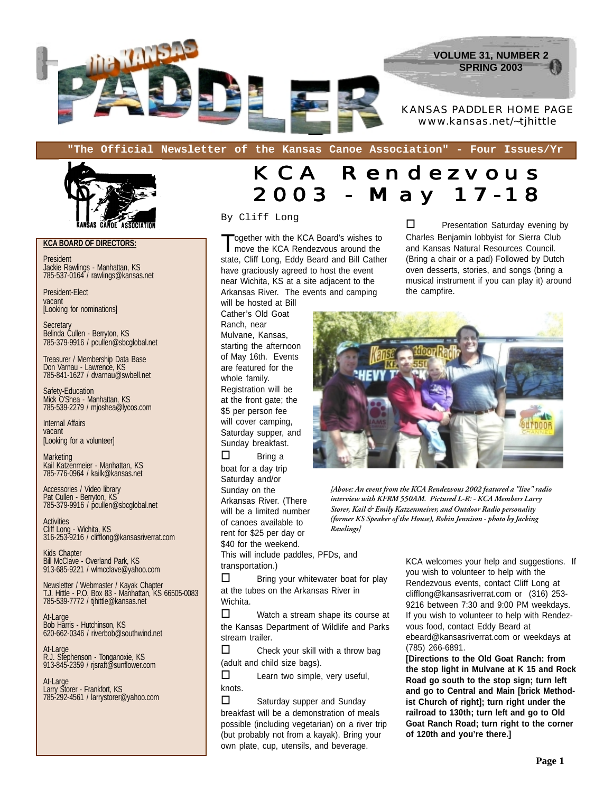

**"The Official Newsletter of the Kansas Canoe Association" - Four Issues/Yr**



**KCA BOARD OF DIRECTORS:**

President Jackie Rawlings - Manhattan, KS 785-537-0164 / rawlings@kansas.net

President-Elect vacant [Looking for nominations]

**Secretary** Belinda Cullen - Berryton, KS 785-379-9916 / pcullen@sbcglobal.net

Treasurer / Membership Data Base Don Varnau - Lawrence, KS 785-841-1627 / dvarnau@swbell.net

Safety-Education Mick O'Shea - Manhattan, KS 785-539-2279 / mjoshea@lycos.com

Internal Affairs vacant [Looking for a volunteer]

**Marketing** Kail Katzenmeier - Manhattan, KS 785-776-0964 / kailk@kansas.net

Accessories / Video library Pat Cullen - Berryton, KS 785-379-9916 / pcullen@sbcglobal.net

**Activities** Cliff Long - Wichita, KS 316-253-9216 / clifflong@kansasriverrat.com

Kids Chapter Bill McClave - Overland Park, KS 913-685-9221 / wlmcclave@yahoo.com

Newsletter / Webmaster / Kayak Chapter T.J. Hittle - P.O. Box 83 - Manhattan, KS 66505-0083 785-539-7772 / tjhittle@kansas.net

At-Large Bob Harris - Hutchinson, KS 620-662-0346 / riverbob@southwind.net

At-Large R.J. Stephenson - Tonganoxie, KS 913-845-2359 / rjsraft@sunflower.com

At-Large Larry Storer - Frankfort, KS 785-292-4561 / larrystorer@yahoo.com

### KCA Rendezvous 2003 - May 17-18

By Cliff Long

Together with the KCA Board's wishes to move the KCA Rendezvous around the state, Cliff Long, Eddy Beard and Bill Cather have graciously agreed to host the event near Wichita, KS at a site adjacent to the Arkansas River. The events and camping

will be hosted at Bill Cather's Old Goat Ranch, near Mulvane, Kansas, starting the afternoon of May 16th. Events are featured for the whole family. Registration will be at the front gate; the \$5 per person fee will cover camping, Saturday supper, and Sunday breakfast.

 $\square$  Bring a boat for a day trip Saturday and/or Sunday on the Arkansas River. (There will be a limited number of canoes available to rent for \$25 per day or \$40 for the weekend. This will include paddles, PFDs, and transportation.)

*interview with KFRM 550AM. Pictured L-R: - KCA Members Larry Storer, Kail & Emily Katzenmeirer, and Outdoor Radio personality (former KS Speaker of the House), Robin Jennison - photo by Jacking Rawlings]*

*[Above: An event from the KCA Rendezvous 2002 featured a "live" radio*

 $\Box$  Bring your whitewater boat for play at the tubes on the Arkansas River in Wichita.

 $\Box$  Watch a stream shape its course at the Kansas Department of Wildlife and Parks stream trailer.

 $\Box$  Check your skill with a throw bag (adult and child size bags).

 $\Box$  Learn two simple, very useful, knots.

 $\Box$  Saturday supper and Sunday breakfast will be a demonstration of meals possible (including vegetarian) on a river trip (but probably not from a kayak). Bring your own plate, cup, utensils, and beverage.

KCA welcomes your help and suggestions. If you wish to volunteer to help with the Rendezvous events, contact Cliff Long at clifflong@kansasriverrat.com or (316) 253- 9216 between 7:30 and 9:00 PM weekdays. If you wish to volunteer to help with Rendezvous food, contact Eddy Beard at ebeard@kansasriverrat.com or weekdays at (785) 266-6891.

 $\square$  Presentation Saturday evening by Charles Benjamin lobbyist for Sierra Club and Kansas Natural Resources Council. (Bring a chair or a pad) Followed by Dutch oven desserts, stories, and songs (bring a musical instrument if you can play it) around

**[Directions to the Old Goat Ranch: from the stop light in Mulvane at K 15 and Rock Road go south to the stop sign; turn left and go to Central and Main [brick Methodist Church of right]; turn right under the railroad to 130th; turn left and go to Old Goat Ranch Road; turn right to the corner of 120th and you're there.]**



the campfire.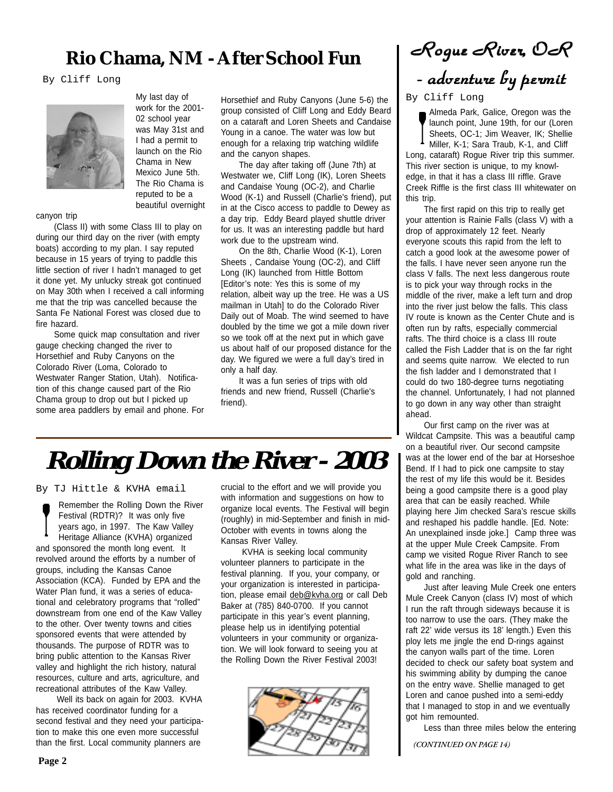### Rio Chama, NM - After School Fun  $\vert$  *Rogue River*, OR

By Cliff Long



My last day of work for the 2001- 02 school year was May 31st and I had a permit to launch on the Rio Chama in New Mexico June 5th. The Rio Chama is reputed to be a beautiful overnight

canyon trip

(Class II) with some Class III to play on during our third day on the river (with empty boats) according to my plan. I say reputed because in 15 years of trying to paddle this little section of river I hadn't managed to get it done yet. My unlucky streak got continued on May 30th when I received a call informing me that the trip was cancelled because the Santa Fe National Forest was closed due to fire hazard.

Some quick map consultation and river gauge checking changed the river to Horsethief and Ruby Canyons on the Colorado River (Loma, Colorado to Westwater Ranger Station, Utah). Notification of this change caused part of the Rio Chama group to drop out but I picked up some area paddlers by email and phone. For Horsethief and Ruby Canyons (June 5-6) the group consisted of Cliff Long and Eddy Beard on a cataraft and Loren Sheets and Candaise Young in a canoe. The water was low but enough for a relaxing trip watching wildlife and the canyon shapes.

The day after taking off (June 7th) at Westwater we, Cliff Long (IK), Loren Sheets and Candaise Young (OC-2), and Charlie Wood (K-1) and Russell (Charlie's friend), put in at the Cisco access to paddle to Dewey as a day trip. Eddy Beard played shuttle driver for us. It was an interesting paddle but hard work due to the upstream wind.

On the 8th, Charlie Wood (K-1), Loren Sheets , Candaise Young (OC-2), and Cliff Long (IK) launched from Hittle Bottom [Editor's note: Yes this is some of my relation, albeit way up the tree. He was a US mailman in Utah] to do the Colorado River Daily out of Moab. The wind seemed to have doubled by the time we got a mile down river so we took off at the next put in which gave us about half of our proposed distance for the day. We figured we were a full day's tired in only a half day.

It was a fun series of trips with old friends and new friend, Russell (Charlie's friend).

## **Rolling Down the River - 2003**

By TJ Hittle & KVHA email

Remember the Rolling Down the River Festival (RDTR)? It was only five years ago, in 1997. The Kaw Valley Heritage Alliance (KVHA) organized and sponsored the month long event. It revolved around the efforts by a number of groups, including the Kansas Canoe Association (KCA). Funded by EPA and the Water Plan fund, it was a series of educational and celebratory programs that "rolled" downstream from one end of the Kaw Valley to the other. Over twenty towns and cities sponsored events that were attended by thousands. The purpose of RDTR was to bring public attention to the Kansas River valley and highlight the rich history, natural resources, culture and arts, agriculture, and recreational attributes of the Kaw Valley.

 Well its back on again for 2003. KVHA has received coordinator funding for a second festival and they need your participation to make this one even more successful than the first. Local community planners are

crucial to the effort and we will provide you with information and suggestions on how to organize local events. The Festival will begin (roughly) in mid-September and finish in mid-October with events in towns along the Kansas River Valley.

 KVHA is seeking local community volunteer planners to participate in the festival planning. If you, your company, or your organization is interested in participation, please email deb@kvha.org or call Deb Baker at (785) 840-0700. If you cannot participate in this year's event planning, please help us in identifying potential volunteers in your community or organization. We will look forward to seeing you at the Rolling Down the River Festival 2003!



*- adventur - adventuradventure by per e by pere by permit*

By Cliff Long

Almeda Park, Galice, Oregon was the launch point, June 19th, for our (Loren Sheets, OC-1; Jim Weaver, IK; Shellie Miller, K-1; Sara Traub, K-1, and Cliff Long, cataraft) Rogue River trip this summer. This river section is unique, to my knowledge, in that it has a class III riffle. Grave Creek Riffle is the first class III whitewater on this trip.

The first rapid on this trip to really get your attention is Rainie Falls (class V) with a drop of approximately 12 feet. Nearly everyone scouts this rapid from the left to catch a good look at the awesome power of the falls. I have never seen anyone run the class V falls. The next less dangerous route is to pick your way through rocks in the middle of the river, make a left turn and drop into the river just below the falls. This class IV route is known as the Center Chute and is often run by rafts, especially commercial rafts. The third choice is a class III route called the Fish Ladder that is on the far right and seems quite narrow. We elected to run the fish ladder and I demonstrated that I could do two 180-degree turns negotiating the channel. Unfortunately, I had not planned to go down in any way other than straight ahead.

Our first camp on the river was at Wildcat Campsite. This was a beautiful camp on a beautiful river. Our second campsite was at the lower end of the bar at Horseshoe Bend. If I had to pick one campsite to stay the rest of my life this would be it. Besides being a good campsite there is a good play area that can be easily reached. While playing here Jim checked Sara's rescue skills and reshaped his paddle handle. [Ed. Note: An unexplained insde joke.] Camp three was at the upper Mule Creek Campsite. From camp we visited Rogue River Ranch to see what life in the area was like in the days of gold and ranching.

Just after leaving Mule Creek one enters Mule Creek Canyon (class IV) most of which I run the raft through sideways because it is too narrow to use the oars. (They make the raft 22' wide versus its 18' length.) Even this ploy lets me jingle the end D-rings against the canyon walls part of the time. Loren decided to check our safety boat system and his swimming ability by dumping the canoe on the entry wave. Shellie managed to get Loren and canoe pushed into a semi-eddy that I managed to stop in and we eventually got him remounted.

Less than three miles below the entering

*(CONTINUED ON PAGE 14)*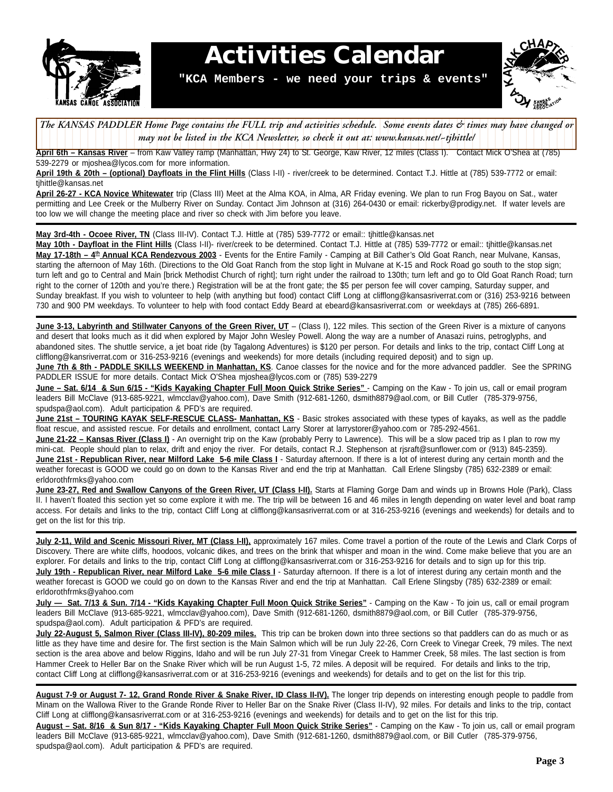

### **Activities Calendar**

**"KCA Members - we need your trips & events"**



The KANSAS PADDLER Home Page contains the FULL trip and activities schedule. Some events dates & times may have changed or 1 7 1 7 *may not be listed in the KCA Newsletter, so check it out at: www.kansas.net/~tjhittle/*

12345678901234567890123456789012123456789012345678901234567890121234567 **April 6th – Kansas River** – from Kaw Valley ramp (Manhattan, Hwy 24) to St. George, Kaw River, 12 miles (Class I). Contact Mick O'Shea at (785) 539-2279 or mjoshea@lycos.com for more information.

**April 19th & 20th – (optional) Dayfloats in the Flint Hills** (Class I-II) - river/creek to be determined. Contact T.J. Hittle at (785) 539-7772 or email: tjhittle@kansas.net

**April 26-27 - KCA Novice Whitewater** trip (Class III) Meet at the Alma KOA, in Alma, AR Friday evening. We plan to run Frog Bayou on Sat., water permitting and Lee Creek or the Mulberry River on Sunday. Contact Jim Johnson at (316) 264-0430 or email: rickerby@prodigy.net. If water levels are too low we will change the meeting place and river so check with Jim before you leave.

**May 3rd-4th - Ocoee River, TN** (Class III-IV). Contact T.J. Hittle at (785) 539-7772 or email:: tjhittle@kansas.net

**May 10th - Dayfloat in the Flint Hills** (Class I-II)- river/creek to be determined. Contact T.J. Hittle at (785) 539-7772 or email:: tjhittle@kansas.net May 17-18th - 4<sup>th</sup> Annual KCA Rendezvous 2003 - Events for the Entire Family - Camping at Bill Cather's Old Goat Ranch, near Mulvane, Kansas, starting the afternoon of May 16th. (Directions to the Old Goat Ranch from the stop light in Mulvane at K-15 and Rock Road go south to the stop sign; turn left and go to Central and Main [brick Methodist Church of right]; turn right under the railroad to 130th; turn left and go to Old Goat Ranch Road; turn right to the corner of 120th and you're there.) Registration will be at the front gate; the \$5 per person fee will cover camping, Saturday supper, and Sunday breakfast. If you wish to volunteer to help (with anything but food) contact Cliff Long at clifflong@kansasriverrat.com or (316) 253-9216 between 730 and 900 PM weekdays. To volunteer to help with food contact Eddy Beard at ebeard@kansasriverrat.com or weekdays at (785) 266-6891.

**June 3-13, Labyrinth and Stillwater Canyons of the Green River, UT** – (Class I), 122 miles. This section of the Green River is a mixture of canyons and desert that looks much as it did when explored by Major John Wesley Powell. Along the way are a number of Anasazi ruins, petroglyphs, and abandoned sites. The shuttle service, a jet boat ride (by Tagalong Adventures) is \$120 per person. For details and links to the trip, contact Cliff Long at clifflong@kansriverrat.com or 316-253-9216 (evenings and weekends) for more details (including required deposit) and to sign up.

**June 7th & 8th - PADDLE SKILLS WEEKEND in Manhattan, KS**. Canoe classes for the novice and for the more advanced paddler. See the SPRING PADDLER ISSUE for more details. Contact Mick O'Shea mjoshea@lycos.com or (785) 539-2279

**June – Sat. 6/14 & Sun 6/15 - "Kids Kayaking Chapter Full Moon Quick Strike Series"** - Camping on the Kaw - To join us, call or email program leaders Bill McClave (913-685-9221, wlmcclav@yahoo.com), Dave Smith (912-681-1260, dsmith8879@aol.com, or Bill Cutler (785-379-9756, spudspa@aol.com). Adult participation & PFD's are required.

**June 21st – TOURING KAYAK SELF-RESCUE CLASS- Manhattan, KS** - Basic strokes associated with these types of kayaks, as well as the paddle float rescue, and assisted rescue. For details and enrollment, contact Larry Storer at larrystorer@yahoo.com or 785-292-4561.

**June 21-22 - Kansas River (Class I)** - An overnight trip on the Kaw (probably Perry to Lawrence). This will be a slow paced trip as I plan to row my mini-cat. People should plan to relax, drift and enjoy the river. For details, contact R.J. Stephenson at rjsraft@sunflower.com or (913) 845-2359). **June 21st - Republican River, near Milford Lake 5-6 mile Class I** - Saturday afternoon. If there is a lot of interest during any certain month and the weather forecast is GOOD we could go on down to the Kansas River and end the trip at Manhattan. Call Erlene Slingsby (785) 632-2389 or email: erldorothfrmks@yahoo.com

June 23-27, Red and Swallow Canyons of the Green River, UT (Class I-II). Starts at Flaming Gorge Dam and winds up in Browns Hole (Park), Class II. I haven't floated this section yet so come explore it with me. The trip will be between 16 and 46 miles in length depending on water level and boat ramp access. For details and links to the trip, contact Cliff Long at clifflong@kansasriverrat.com or at 316-253-9216 (evenings and weekends) for details and to get on the list for this trip.

**July 2-11, Wild and Scenic Missouri River, MT (Class I-II),** approximately 167 miles. Come travel a portion of the route of the Lewis and Clark Corps of Discovery. There are white cliffs, hoodoos, volcanic dikes, and trees on the brink that whisper and moan in the wind. Come make believe that you are an explorer. For details and links to the trip, contact Cliff Long at clifflong@kansasriverrat.com or 316-253-9216 for details and to sign up for this trip. **July 19th - Republican River, near Milford Lake 5-6 mile Class I** - Saturday afternoon. If there is a lot of interest during any certain month and the weather forecast is GOOD we could go on down to the Kansas River and end the trip at Manhattan. Call Erlene Slingsby (785) 632-2389 or email: erldorothfrmks@yahoo.com

**July — Sat. 7/13 & Sun. 7/14 - "Kids Kayaking Chapter Full Moon Quick Strike Series"** - Camping on the Kaw - To join us, call or email program leaders Bill McClave (913-685-9221, wlmcclav@yahoo.com), Dave Smith (912-681-1260, dsmith8879@aol.com, or Bill Cutler (785-379-9756, spudspa@aol.com). Adult participation & PFD's are required.

**July 22-August 5, Salmon River (Class III-IV), 80-209 miles.** This trip can be broken down into three sections so that paddlers can do as much or as little as they have time and desire for. The first section is the Main Salmon which will be run July 22-26, Corn Creek to Vinegar Creek, 79 miles. The next section is the area above and below Riggins, Idaho and will be run July 27-31 from Vinegar Creek to Hammer Creek, 58 miles. The last section is from Hammer Creek to Heller Bar on the Snake River which will be run August 1-5, 72 miles. A deposit will be required. For details and links to the trip, contact Cliff Long at clifflong@kansasriverrat.com or at 316-253-9216 (evenings and weekends) for details and to get on the list for this trip.

**August 7-9 or August 7- 12, Grand Ronde River & Snake River, ID Class II-IV).** The longer trip depends on interesting enough people to paddle from Minam on the Wallowa River to the Grande Ronde River to Heller Bar on the Snake River (Class II-IV), 92 miles. For details and links to the trip, contact Cliff Long at clifflong@kansasriverrat.com or at 316-253-9216 (evenings and weekends) for details and to get on the list for this trip.

**August – Sat. 8/16 & Sun 8/17 - "Kids Kayaking Chapter Full Moon Quick Strike Series"** - Camping on the Kaw - To join us, call or email program leaders Bill McClave (913-685-9221, wlmcclav@yahoo.com), Dave Smith (912-681-1260, dsmith8879@aol.com, or Bill Cutler (785-379-9756, spudspa@aol.com). Adult participation & PFD's are required.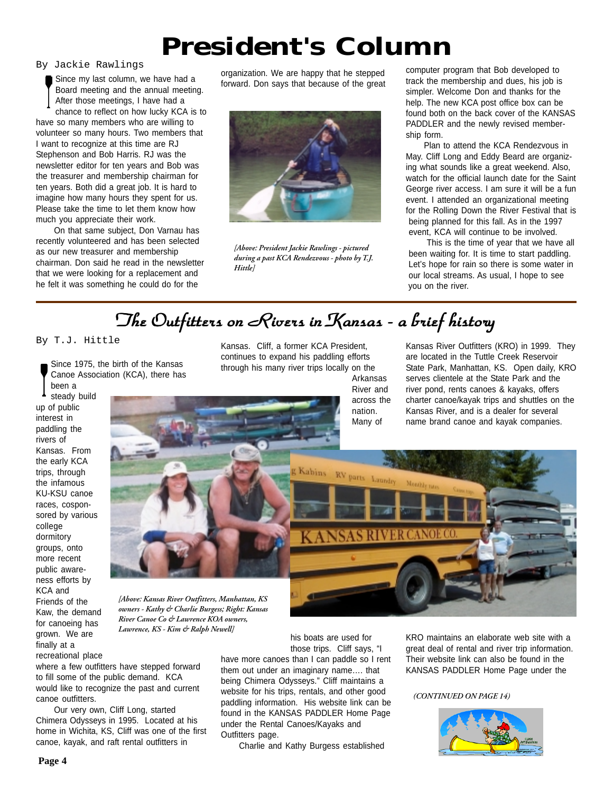### **President's Column**

By Jackie Rawlings

Since my last column, we have had a Board meeting and the annual meeting. After those meetings, I have had a chance to reflect on how lucky KCA is to have so many members who are willing to volunteer so many hours. Two members that I want to recognize at this time are RJ Stephenson and Bob Harris. RJ was the newsletter editor for ten years and Bob was the treasurer and membership chairman for ten years. Both did a great job. It is hard to imagine how many hours they spent for us. Please take the time to let them know how much you appreciate their work.

On that same subject, Don Varnau has recently volunteered and has been selected as our new treasurer and membership chairman. Don said he read in the newsletter that we were looking for a replacement and he felt it was something he could do for the

organization. We are happy that he stepped forward. Don says that because of the great



*[Above: President Jackie Rawlings - pictured during a past KCA Rendezvous - photo by T.J. Hittle]*

computer program that Bob developed to track the membership and dues, his job is simpler. Welcome Don and thanks for the help. The new KCA post office box can be found both on the back cover of the KANSAS PADDLER and the newly revised membership form.

Plan to attend the KCA Rendezvous in May. Cliff Long and Eddy Beard are organizing what sounds like a great weekend. Also, watch for the official launch date for the Saint George river access. I am sure it will be a fun event. I attended an organizational meeting for the Rolling Down the River Festival that is being planned for this fall. As in the 1997 event, KCA will continue to be involved.

This is the time of year that we have all been waiting for. It is time to start paddling. Let's hope for rain so there is some water in our local streams. As usual, I hope to see you on the river.

### *The Outfitters on Rivers in Kansas - a brief histor The Outfitters on Rivers in Kansas - a brief histor The Outfitters on in Kansas - a brief history*

By T.J. Hittle

Since 1975, the birth of the Kansas Canoe Association (KCA), there has been a

steady build up of public interest in paddling the rivers of Kansas. From the early KCA trips, through the infamous KU-KSU canoe races, cosponsored by various college dormitory groups, onto more recent public awareness efforts by KCA and Friends of the Kaw, the demand for canoeing has grown. We are finally at a recreational place Kansas. Cliff, a former KCA President, continues to expand his paddling efforts through his many river trips locally on the

Arkansas River and across the nation. Many of

Kansas River Outfitters (KRO) in 1999. They are located in the Tuttle Creek Reservoir State Park, Manhattan, KS. Open daily, KRO serves clientele at the State Park and the river pond, rents canoes & kayaks, offers charter canoe/kayak trips and shuttles on the Kansas River, and is a dealer for several name brand canoe and kayak companies.



*[Above: Kansas River Outfitters, Manhattan, KS owners - Kathy & Charlie Burgess; Right: Kansas River Canoe Co & Lawrence KOA owners, Lawrence, KS - Kim & Ralph Newell]*

where a few outfitters have stepped forward to fill some of the public demand. KCA would like to recognize the past and current canoe outfitters.

Our very own, Cliff Long, started Chimera Odysseys in 1995. Located at his home in Wichita, KS, Cliff was one of the first canoe, kayak, and raft rental outfitters in

his boats are used for those trips. Cliff says, "I

have more canoes than I can paddle so I rent them out under an imaginary name…. that being Chimera Odysseys." Cliff maintains a website for his trips, rentals, and other good paddling information. His website link can be found in the KANSAS PADDLER Home Page under the Rental Canoes/Kayaks and Outfitters page.

Charlie and Kathy Burgess established

KRO maintains an elaborate web site with a great deal of rental and river trip information. Their website link can also be found in the KANSAS PADDLER Home Page under the

*(CONTINUED ON PAGE 14)*

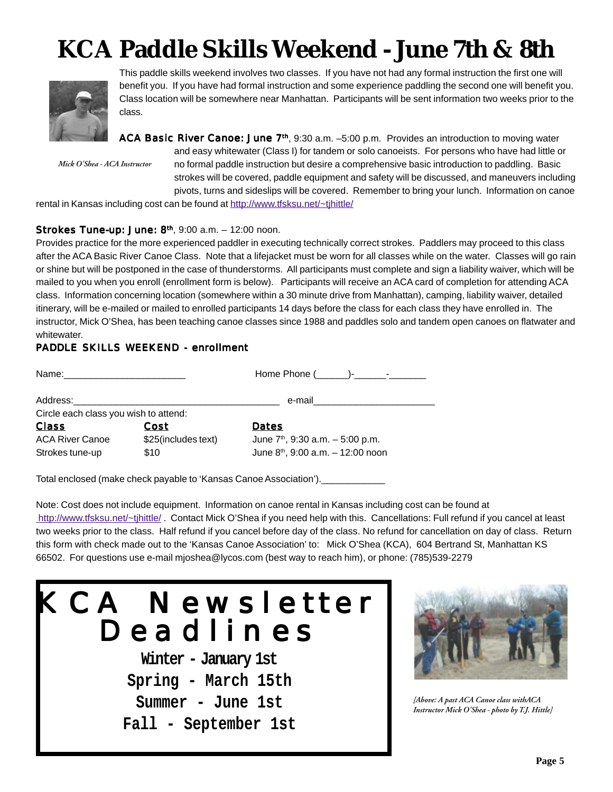# **KCA Paddle Skills Weekend - June 7th & 8th**



This paddle skills weekend involves two classes. If you have not had any formal instruction the first one will benefit you. If you have had formal instruction and some experience paddling the second one will benefit you. Class location will be somewhere near Manhattan. Participants will be sent information two weeks prior to the class.

*Mick O'Shea - ACA Instructor*

ACA Basic River Canoe: June 7th, 9:30 a.m. –5:00 p.m. Provides an introduction to moving water and easy whitewater (Class I) for tandem or solo canoeists. For persons who have had little or no formal paddle instruction but desire a comprehensive basic introduction to paddling. Basic strokes will be covered, paddle equipment and safety will be discussed, and maneuvers including pivots, turns and sideslips will be covered. Remember to bring your lunch. Information on canoe

rental in Kansas including cost can be found at http://www.tfsksu.net/~tjhittle/

#### Strokes Tune-up: June: 8th, 9:00 a.m. – 12:00 noon.

Provides practice for the more experienced paddler in executing technically correct strokes. Paddlers may proceed to this class after the ACA Basic River Canoe Class. Note that a lifejacket must be worn for all classes while on the water. Classes will go rain or shine but will be postponed in the case of thunderstorms. All participants must complete and sign a liability waiver, which will be mailed to you when you enroll (enrollment form is below). Participants will receive an ACA card of completion for attending ACA class. Information concerning location (somewhere within a 30 minute drive from Manhattan), camping, liability waiver, detailed itinerary, will be e-mailed or mailed to enrolled participants 14 days before the class for each class they have enrolled in. The instructor, Mick O'Shea, has been teaching canoe classes since 1988 and paddles solo and tandem open canoes on flatwater and whitewater.

#### PADDLE SKILLS WEEKEND - enrollment

| Address:                              |                     | e-mail_________________________      |
|---------------------------------------|---------------------|--------------------------------------|
| Circle each class you wish to attend: |                     |                                      |
| <b>Class</b>                          | Cost                | Dates                                |
| <b>ACA River Canoe</b>                | \$25(includes text) | June $7th$ , 9:30 a.m. $-5:00$ p.m.  |
| Strokes tune-up                       | \$10                | June $8th$ , 9:00 a.m. $-12:00$ noon |
|                                       |                     |                                      |

Total enclosed (make check payable to 'Kansas Canoe Association').

Note: Cost does not include equipment. Information on canoe rental in Kansas including cost can be found at http://www.tfsksu.net/~tjhittle/. Contact Mick O'Shea if you need help with this. Cancellations: Full refund if you cancel at least two weeks prior to the class. Half refund if you cancel before day of the class. No refund for cancellation on day of class. Return this form with check made out to the 'Kansas Canoe Association' to: Mick O'Shea (KCA), 604 Bertrand St, Manhattan KS 66502. For questions use e-mail mjoshea@lycos.com (best way to reach him), or phone: (785)539-2279





*[Above: A past ACA Canoe class withACA Instructor Mick O'Shea - photo by T.J. Hittle]*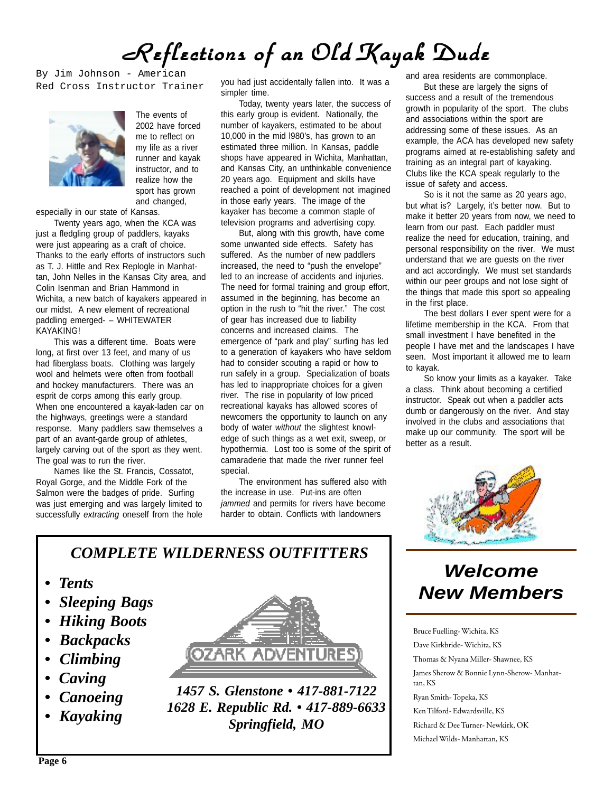# *Reflections of an Old Kayak Dude Reflections of an Old Kayak DudeReflections of an Old Kayak Dude*

By Jim Johnson - American Red Cross Instructor Trainer



The events of 2002 have forced me to reflect on my life as a river runner and kayak instructor, and to realize how the sport has grown and changed,

especially in our state of Kansas.

Twenty years ago, when the KCA was just a fledgling group of paddlers, kayaks were just appearing as a craft of choice. Thanks to the early efforts of instructors such as T. J. Hittle and Rex Replogle in Manhattan, John Nelles in the Kansas City area, and Colin Isenman and Brian Hammond in Wichita, a new batch of kayakers appeared in our midst. A new element of recreational paddling emerged- – WHITEWATER KAYAKING!

This was a different time. Boats were long, at first over 13 feet, and many of us had fiberglass boats. Clothing was largely wool and helmets were often from football and hockey manufacturers. There was an esprit de corps among this early group. When one encountered a kayak-laden car on the highways, greetings were a standard response. Many paddlers saw themselves a part of an avant-garde group of athletes, largely carving out of the sport as they went. The goal was to run the river.

Names like the St. Francis, Cossatot, Royal Gorge, and the Middle Fork of the Salmon were the badges of pride. Surfing was just emerging and was largely limited to successfully *extracting* oneself from the hole you had just accidentally fallen into. It was a simpler time.

Today, twenty years later, the success of this early group is evident. Nationally, the number of kayakers, estimated to be about 10,000 in the mid l980's, has grown to an estimated three million. In Kansas, paddle shops have appeared in Wichita, Manhattan, and Kansas City, an unthinkable convenience 20 years ago. Equipment and skills have reached a point of development not imagined in those early years. The image of the kayaker has become a common staple of television programs and advertising copy.

But, along with this growth, have come some unwanted side effects. Safety has suffered. As the number of new paddlers increased, the need to "push the envelope" led to an increase of accidents and injuries. The need for formal training and group effort, assumed in the beginning, has become an option in the rush to "hit the river." The cost of gear has increased due to liability concerns and increased claims. The emergence of "park and play" surfing has led to a generation of kayakers who have seldom had to consider scouting a rapid or how to run safely in a group. Specialization of boats has led to inappropriate choices for a given river. The rise in popularity of low priced recreational kayaks has allowed scores of newcomers the opportunity to launch on any body of water *without* the slightest knowledge of such things as a wet exit, sweep, or hypothermia. Lost too is some of the spirit of camaraderie that made the river runner feel special.

The environment has suffered also with the increase in use. Put-ins are often *jammed* and permits for rivers have become harder to obtain. Conflicts with landowners

and area residents are commonplace.

But these are largely the signs of success and a result of the tremendous growth in popularity of the sport. The clubs and associations within the sport are addressing some of these issues. As an example, the ACA has developed new safety programs aimed at re-establishing safety and training as an integral part of kayaking. Clubs like the KCA speak regularly to the issue of safety and access.

So is it not the same as 20 years ago, but what is? Largely, it's better now. But to make it better 20 years from now, we need to learn from our past. Each paddler must realize the need for education, training, and personal responsibility on the river. We must understand that we are guests on the river and act accordingly. We must set standards within our peer groups and not lose sight of the things that made this sport so appealing in the first place.

The best dollars I ever spent were for a lifetime membership in the KCA. From that small investment I have benefited in the people I have met and the landscapes I have seen. Most important it allowed me to learn to kayak.

So know your limits as a kayaker. Take a class. Think about becoming a certified instructor. Speak out when a paddler acts dumb or dangerously on the river. And stay involved in the clubs and associations that make up our community. The sport will be better as a result.



### *Welcome New Members*

Bruce Fuelling- Wichita, KS Dave Kirkbride- Wichita, KS Thomas & Nyana Miller- Shawnee, KS James Sherow & Bonnie Lynn-Sherow- Manhattan, KS Ryan Smith- Topeka, KS Ken Tilford- Edwardsville, KS Richard & Dee Turner- Newkirk, OK Michael Wilds- Manhattan, KS

#### *COMPLETE WILDERNESS OUTFITTERS*

- *Tents*
- *Sleeping Bags*
- *Hiking Boots*
- *Backpacks*
- *Climbing*
- *Caving*
- *Canoeing*
- *Kayaking*



*1457 S. Glenstone • 417-881-7122 1628 E. Republic Rd. • 417-889-6633 Springfield, MO*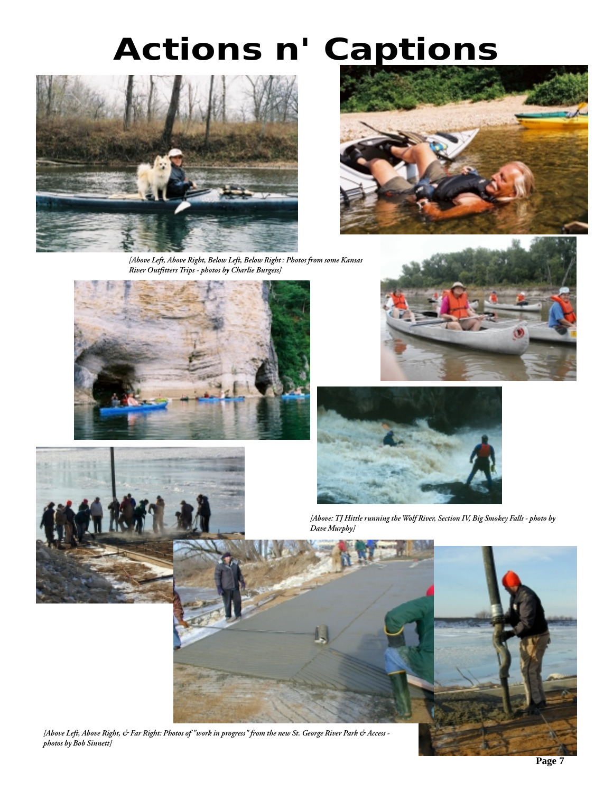# *Actions n' Captions*



*[Above Left, Above Right, Below Left, Below Right : Photos from some Kansas River Outfitters Trips - photos by Charlie Burgess]*









*[Above: TJ Hittle running the Wolf River, Section IV, Big Smokey Falls - photo by Dave Murphy]*



*[Above Left, Above Right, & Far Right: Photos of "work in progress" from the new St. George River Park & Access photos by Bob Sinnett]*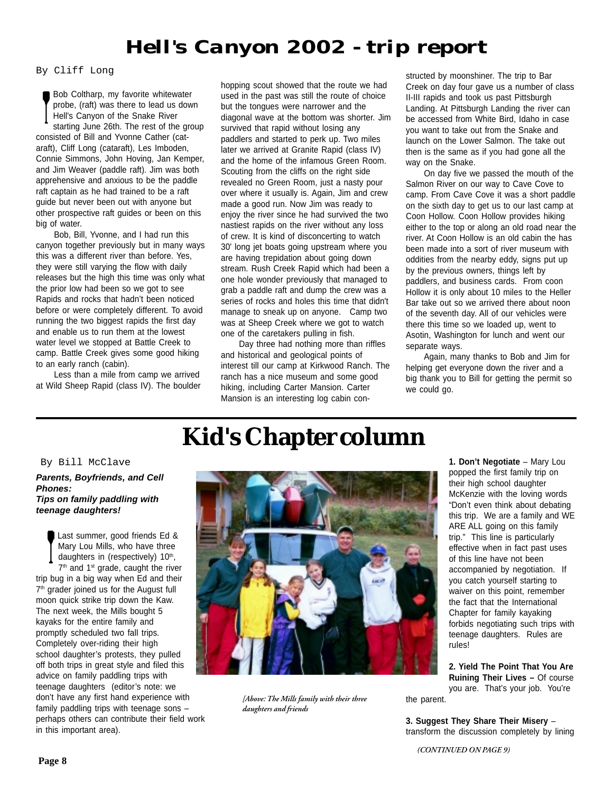### *Hell's Canyon 2002 - trip report*

By Cliff Long

Bob Coltharp, my favorite whitewater probe, (raft) was there to lead us down Hell's Canyon of the Snake River starting June 26th. The rest of the group consisted of Bill and Yvonne Cather (cataraft), Cliff Long (cataraft), Les Imboden, Connie Simmons, John Hoving, Jan Kemper, and Jim Weaver (paddle raft). Jim was both apprehensive and anxious to be the paddle raft captain as he had trained to be a raft guide but never been out with anyone but other prospective raft guides or been on this big of water.

Bob, Bill, Yvonne, and I had run this canyon together previously but in many ways this was a different river than before. Yes, they were still varying the flow with daily releases but the high this time was only what the prior low had been so we got to see Rapids and rocks that hadn't been noticed before or were completely different. To avoid running the two biggest rapids the first day and enable us to run them at the lowest water level we stopped at Battle Creek to camp. Battle Creek gives some good hiking to an early ranch (cabin).

Less than a mile from camp we arrived at Wild Sheep Rapid (class IV). The boulder hopping scout showed that the route we had used in the past was still the route of choice but the tongues were narrower and the diagonal wave at the bottom was shorter. Jim survived that rapid without losing any paddlers and started to perk up. Two miles later we arrived at Granite Rapid (class IV) and the home of the infamous Green Room. Scouting from the cliffs on the right side revealed no Green Room, just a nasty pour over where it usually is. Again, Jim and crew made a good run. Now Jim was ready to enjoy the river since he had survived the two nastiest rapids on the river without any loss of crew. It is kind of disconcerting to watch 30' long jet boats going upstream where you are having trepidation about going down stream. Rush Creek Rapid which had been a one hole wonder previously that managed to grab a paddle raft and dump the crew was a series of rocks and holes this time that didn't manage to sneak up on anyone. Camp two was at Sheep Creek where we got to watch one of the caretakers pulling in fish.

Day three had nothing more than riffles and historical and geological points of interest till our camp at Kirkwood Ranch. The ranch has a nice museum and some good hiking, including Carter Mansion. Carter Mansion is an interesting log cabin constructed by moonshiner. The trip to Bar Creek on day four gave us a number of class II-III rapids and took us past Pittsburgh Landing. At Pittsburgh Landing the river can be accessed from White Bird, Idaho in case you want to take out from the Snake and launch on the Lower Salmon. The take out then is the same as if you had gone all the way on the Snake.

On day five we passed the mouth of the Salmon River on our way to Cave Cove to camp. From Cave Cove it was a short paddle on the sixth day to get us to our last camp at Coon Hollow. Coon Hollow provides hiking either to the top or along an old road near the river. At Coon Hollow is an old cabin the has been made into a sort of river museum with oddities from the nearby eddy, signs put up by the previous owners, things left by paddlers, and business cards. From coon Hollow it is only about 10 miles to the Heller Bar take out so we arrived there about noon of the seventh day. All of our vehicles were there this time so we loaded up, went to Asotin, Washington for lunch and went our separate ways.

Again, many thanks to Bob and Jim for helping get everyone down the river and a big thank you to Bill for getting the permit so we could go.

### **Kid's Chapter column**

#### By Bill McClave

#### *Parents, Boyfriends, and Cell Phones: Tips on family paddling with teenage daughters!*

Last summer, good friends Ed & Mary Lou Mills, who have three daughters in (respectively)  $10<sup>th</sup>$ ,  $7<sup>th</sup>$  and 1<sup>st</sup> grade, caught the river trip bug in a big way when Ed and their 7<sup>th</sup> grader joined us for the August full moon quick strike trip down the Kaw. The next week, the Mills bought 5 kayaks for the entire family and promptly scheduled two fall trips. Completely over-riding their high school daughter's protests, they pulled off both trips in great style and filed this advice on family paddling trips with teenage daughters (editor's note: we don't have any first hand experience with family paddling trips with teenage sons – perhaps others can contribute their field work in this important area).



*[Above: The Mills family with their three daughters and friends*

**1. Don't Negotiate** – Mary Lou popped the first family trip on their high school daughter McKenzie with the loving words "Don't even think about debating this trip. We are a family and WE ARE ALL going on this family trip." This line is particularly effective when in fact past uses of this line have not been accompanied by negotiation. If you catch yourself starting to waiver on this point, remember the fact that the International Chapter for family kayaking forbids negotiating such trips with teenage daughters. Rules are rules!

**2. Yield The Point That You Are Ruining Their Lives –** Of course you are. That's your job. You're the parent.

**3. Suggest They Share Their Misery** – transform the discussion completely by lining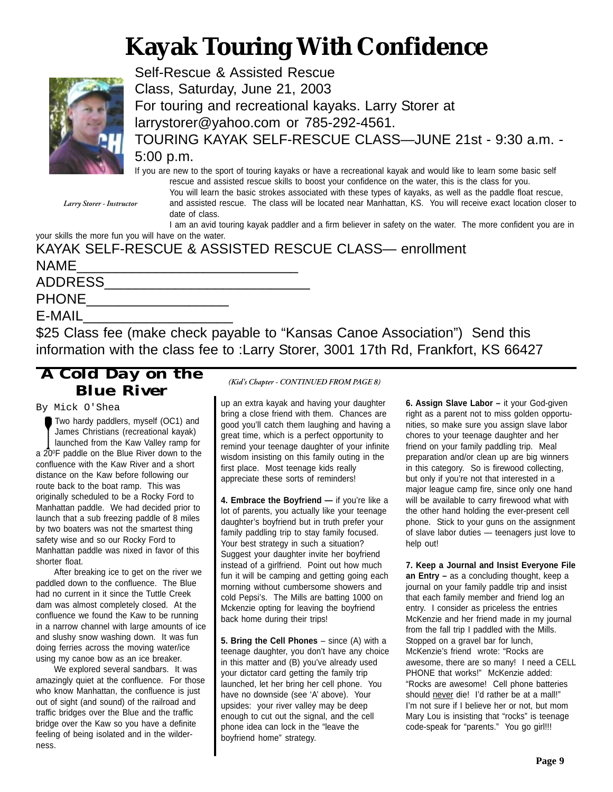# **Kayak Touring With Confidence**



Self-Rescue & Assisted Rescue Class, Saturday, June 21, 2003 For touring and recreational kayaks. Larry Storer at larrystorer@yahoo.com or 785-292-4561. TOURING KAYAK SELF-RESCUE CLASS—JUNE 21st - 9:30 a.m. - 5:00 p.m.

*Larry Storer - Instructor*

If you are new to the sport of touring kayaks or have a recreational kayak and would like to learn some basic self rescue and assisted rescue skills to boost your confidence on the water, this is the class for you.

You will learn the basic strokes associated with these types of kayaks, as well as the paddle float rescue, and assisted rescue. The class will be located near Manhattan, KS. You will receive exact location closer to date of class.

I am an avid touring kayak paddler and a firm believer in safety on the water. The more confident you are in your skills the more fun you will have on the water.

| KAYAK SELF-RESCUE & ASSISTED RESCUE CLASS— enrollment |
|-------------------------------------------------------|
| <b>NAME</b>                                           |
| <b>ADDRESS</b>                                        |
| <b>PHONE</b>                                          |

E-MAIL\_\_\_\_\_\_\_\_\_\_\_\_\_\_\_\_\_\_\_

\$25 Class fee (make check payable to "Kansas Canoe Association") Send this information with the class fee to :Larry Storer, 3001 17th Rd, Frankfort, KS 66427

### *A Cold Day on the Blue River*

By Mick O'Shea

Two hardy paddlers, myself (OC1) and James Christians (recreational kayak) launched from the Kaw Valley ramp for a 200F paddle on the Blue River down to the confluence with the Kaw River and a short distance on the Kaw before following our route back to the boat ramp. This was originally scheduled to be a Rocky Ford to Manhattan paddle. We had decided prior to launch that a sub freezing paddle of 8 miles by two boaters was not the smartest thing safety wise and so our Rocky Ford to Manhattan paddle was nixed in favor of this shorter float.

After breaking ice to get on the river we paddled down to the confluence. The Blue had no current in it since the Tuttle Creek dam was almost completely closed. At the confluence we found the Kaw to be running in a narrow channel with large amounts of ice and slushy snow washing down. It was fun doing ferries across the moving water/ice using my canoe bow as an ice breaker.

We explored several sandbars. It was amazingly quiet at the confluence. For those who know Manhattan, the confluence is just out of sight (and sound) of the railroad and traffic bridges over the Blue and the traffic bridge over the Kaw so you have a definite feeling of being isolated and in the wilderness.

*(Kid's Chapter - CONTINUED FROM PAGE 8)*

up an extra kayak and having your daughter bring a close friend with them. Chances are good you'll catch them laughing and having a great time, which is a perfect opportunity to remind your teenage daughter of your infinite wisdom insisting on this family outing in the first place. Most teenage kids really appreciate these sorts of reminders!

**4. Embrace the Boyfriend —** if you're like a lot of parents, you actually like your teenage daughter's boyfriend but in truth prefer your family paddling trip to stay family focused. Your best strategy in such a situation? Suggest your daughter invite her boyfriend instead of a girlfriend. Point out how much fun it will be camping and getting going each morning without cumbersome showers and cold Pepsi's. The Mills are batting 1000 on Mckenzie opting for leaving the boyfriend back home during their trips!

**5. Bring the Cell Phones** – since (A) with a teenage daughter, you don't have any choice in this matter and (B) you've already used your dictator card getting the family trip launched, let her bring her cell phone. You have no downside (see 'A' above). Your upsides: your river valley may be deep enough to cut out the signal, and the cell phone idea can lock in the "leave the boyfriend home" strategy.

**6. Assign Slave Labor –** it your God-given right as a parent not to miss golden opportunities, so make sure you assign slave labor chores to your teenage daughter and her friend on your family paddling trip. Meal preparation and/or clean up are big winners in this category. So is firewood collecting, but only if you're not that interested in a major league camp fire, since only one hand will be available to carry firewood what with the other hand holding the ever-present cell phone. Stick to your guns on the assignment of slave labor duties — teenagers just love to help out!

**7. Keep a Journal and Insist Everyone File an Entry –** as a concluding thought, keep a journal on your family paddle trip and insist that each family member and friend log an entry. I consider as priceless the entries McKenzie and her friend made in my journal from the fall trip I paddled with the Mills. Stopped on a gravel bar for lunch, McKenzie's friend wrote: "Rocks are awesome, there are so many! I need a CELL PHONE that works!" McKenzie added: "Rocks are awesome! Cell phone batteries should never die! I'd rather be at a mall!" I'm not sure if I believe her or not, but mom Mary Lou is insisting that "rocks" is teenage code-speak for "parents." You go girl!!!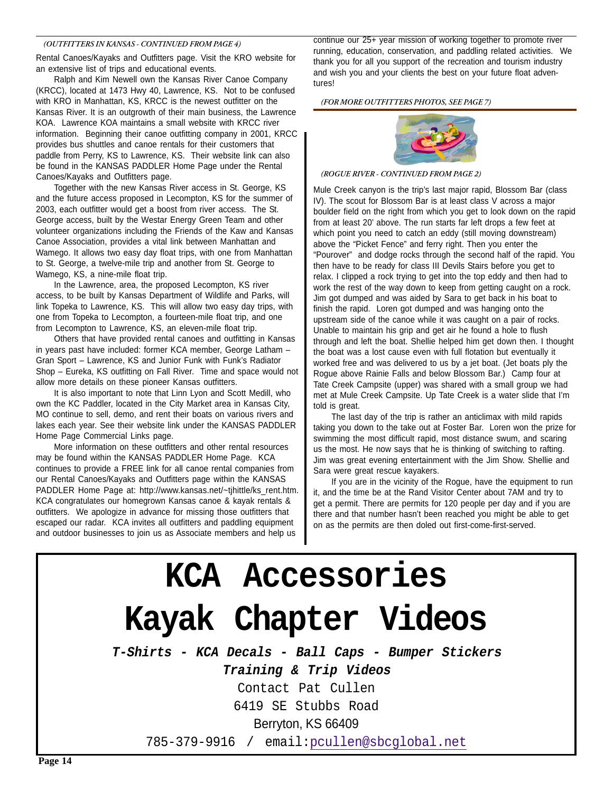#### *(OUTFITTERS IN KANSAS - CONTINUED FROM PAGE 4)*

Rental Canoes/Kayaks and Outfitters page. Visit the KRO website for an extensive list of trips and educational events.

Ralph and Kim Newell own the Kansas River Canoe Company (KRCC), located at 1473 Hwy 40, Lawrence, KS. Not to be confused with KRO in Manhattan, KS, KRCC is the newest outfitter on the Kansas River. It is an outgrowth of their main business, the Lawrence KOA. Lawrence KOA maintains a small website with KRCC river information. Beginning their canoe outfitting company in 2001, KRCC provides bus shuttles and canoe rentals for their customers that paddle from Perry, KS to Lawrence, KS. Their website link can also be found in the KANSAS PADDLER Home Page under the Rental Canoes/Kayaks and Outfitters page.

Together with the new Kansas River access in St. George, KS and the future access proposed in Lecompton, KS for the summer of 2003, each outfitter would get a boost from river access. The St. George access, built by the Westar Energy Green Team and other volunteer organizations including the Friends of the Kaw and Kansas Canoe Association, provides a vital link between Manhattan and Wamego. It allows two easy day float trips, with one from Manhattan to St. George, a twelve-mile trip and another from St. George to Wamego, KS, a nine-mile float trip.

In the Lawrence, area, the proposed Lecompton, KS river access, to be built by Kansas Department of Wildlife and Parks, will link Topeka to Lawrence, KS. This will allow two easy day trips, with one from Topeka to Lecompton, a fourteen-mile float trip, and one from Lecompton to Lawrence, KS, an eleven-mile float trip.

Others that have provided rental canoes and outfitting in Kansas in years past have included: former KCA member, George Latham – Gran Sport – Lawrence, KS and Junior Funk with Funk's Radiator Shop – Eureka, KS outfitting on Fall River. Time and space would not allow more details on these pioneer Kansas outfitters.

It is also important to note that Linn Lyon and Scott Medill, who own the KC Paddler, located in the City Market area in Kansas City, MO continue to sell, demo, and rent their boats on various rivers and lakes each year. See their website link under the KANSAS PADDLER Home Page Commercial Links page.

More information on these outfitters and other rental resources may be found within the KANSAS PADDLER Home Page. KCA continues to provide a FREE link for all canoe rental companies from our Rental Canoes/Kayaks and Outfitters page within the KANSAS PADDLER Home Page at: http://www.kansas.net/~tjhittle/ks\_rent.htm. KCA congratulates our homegrown Kansas canoe & kayak rentals & outfitters. We apologize in advance for missing those outfitters that escaped our radar. KCA invites all outfitters and paddling equipment and outdoor businesses to join us as Associate members and help us

continue our 25+ year mission of working together to promote river running, education, conservation, and paddling related activities. We thank you for all you support of the recreation and tourism industry and wish you and your clients the best on your future float adventures!

#### *(FOR MORE OUTFITTERS PHOTOS, SEE PAGE 7)*



#### *(ROGUE RIVER - CONTINUED FROM PAGE 2)*

Mule Creek canyon is the trip's last major rapid, Blossom Bar (class IV). The scout for Blossom Bar is at least class V across a major boulder field on the right from which you get to look down on the rapid from at least 20' above. The run starts far left drops a few feet at which point you need to catch an eddy (still moving downstream) above the "Picket Fence" and ferry right. Then you enter the "Pourover" and dodge rocks through the second half of the rapid. You then have to be ready for class III Devils Stairs before you get to relax. I clipped a rock trying to get into the top eddy and then had to work the rest of the way down to keep from getting caught on a rock. Jim got dumped and was aided by Sara to get back in his boat to finish the rapid. Loren got dumped and was hanging onto the upstream side of the canoe while it was caught on a pair of rocks. Unable to maintain his grip and get air he found a hole to flush through and left the boat. Shellie helped him get down then. I thought the boat was a lost cause even with full flotation but eventually it worked free and was delivered to us by a jet boat. (Jet boats ply the Rogue above Rainie Falls and below Blossom Bar.) Camp four at Tate Creek Campsite (upper) was shared with a small group we had met at Mule Creek Campsite. Up Tate Creek is a water slide that I'm told is great.

The last day of the trip is rather an anticlimax with mild rapids taking you down to the take out at Foster Bar. Loren won the prize for swimming the most difficult rapid, most distance swum, and scaring us the most. He now says that he is thinking of switching to rafting. Jim was great evening entertainment with the Jim Show. Shellie and Sara were great rescue kayakers.

If you are in the vicinity of the Rogue, have the equipment to run it, and the time be at the Rand Visitor Center about 7AM and try to get a permit. There are permits for 120 people per day and if you are there and that number hasn't been reached you might be able to get on as the permits are then doled out first-come-first-served.

# **KCA Accessories Kayak Chapter Videos**

**T-Shirts - KCA Decals - Ball Caps - Bumper Stickers Training & Trip Videos**

Contact Pat Cullen

6419 SE Stubbs Road

Berryton, KS 66409

785-379-9916 / email:pcullen@sbcglobal.net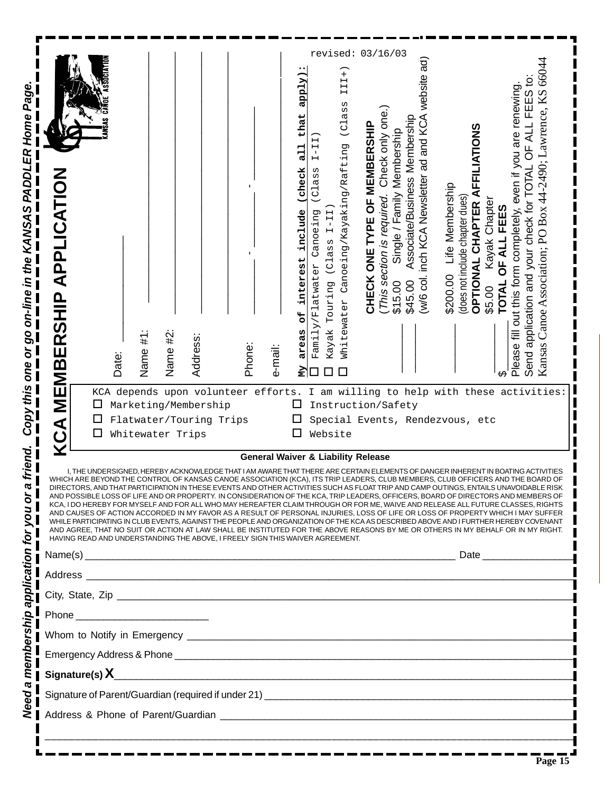| Copy this one or go on-line in the KANSAS PADDLER Home Page | <b>MEMBERSHIP APPLICATION</b><br>KCA<br>K                                                                                                                                                                                                                                                                                                                                                                                                                                                                                                                                                                                                                                                                                                                                                                                                                                                                                                                   | Date:<br>Ц<br>□<br>□ | Name #1:<br>KCA depends upon volunteer efforts.<br>Marketing/Membership<br>Flatwater/Touring Trips<br>Whitewater Trips | Name #2 | Address: |  | Phone: | e-mail: | apply<br>that<br>┍<br>님<br>check<br>include<br>interest<br>ЪР<br>areas<br>Š<br>ப | н<br>$\vdash$<br>$\mathsf I$<br>Н<br>ass<br>$\overline{C}$<br>Canoeing<br>Family/Flatwater | $I-II$<br>(Class<br>Touring<br>Kayak<br>Website | $\ddot{}$<br>III<br>(Class<br>Canoeing/Kayaking/Rafting<br>Whitewater | revised: 03/16/03<br><b>CHECK ONE TYPE OF MEMBERSHIP</b><br>Instruction/Safety<br>Special Events, Rendezvous, etc | Check only one.)<br>This section is required. | Single / Family Membership<br>\$15.00 | Associate/Business Membership<br>\$45.00 | inch KCA Newsletter ad and KCA website ad)<br>w/6 col. | Life Membership<br>\$200.00 | does not include chapter dues) | <b>FFILIATIONS</b><br>⋖<br>Kayak Chapter<br>OPTIONAL CHAPTER<br>\$5.00 | FEES<br>OF ALL<br><b>TOTAL</b> | FEES to:<br>fill out this form completely, even if you are renewing<br>OF ALL<br>Send application and your check for TOTAL<br>Please | Kansas Canoe Association; PO Box 44-2490; Lawrence, KS 66044<br>I am willing to help with these activities |  |
|-------------------------------------------------------------|-------------------------------------------------------------------------------------------------------------------------------------------------------------------------------------------------------------------------------------------------------------------------------------------------------------------------------------------------------------------------------------------------------------------------------------------------------------------------------------------------------------------------------------------------------------------------------------------------------------------------------------------------------------------------------------------------------------------------------------------------------------------------------------------------------------------------------------------------------------------------------------------------------------------------------------------------------------|----------------------|------------------------------------------------------------------------------------------------------------------------|---------|----------|--|--------|---------|----------------------------------------------------------------------------------|--------------------------------------------------------------------------------------------|-------------------------------------------------|-----------------------------------------------------------------------|-------------------------------------------------------------------------------------------------------------------|-----------------------------------------------|---------------------------------------|------------------------------------------|--------------------------------------------------------|-----------------------------|--------------------------------|------------------------------------------------------------------------|--------------------------------|--------------------------------------------------------------------------------------------------------------------------------------|------------------------------------------------------------------------------------------------------------|--|
| a friend.<br>membership application for you or              | <b>General Waiver &amp; Liability Release</b><br>I. THE UNDERSIGNED. HEREBY ACKNOWLEDGE THAT I AP<br>LEMENTS OF DANGER INHERENT IN BOATING ACTIVITIES<br>WHICH ARE BEYOND THE CONTROL OF KANSAS CANOE ASSOCIATION (KCA), ITS TRIP LEADERS, CLUB MEMBERS, CLUB OFFICERS AND THE BOARD OF<br>ALION IN THESE EVEN IS AND OTHER ACTIVITIES SUCH AS FLOAT TRIP AND CAMP OUTINGS, ENTAILS UNAVOIDABLE RISK '' A<br>AND POSSIBLE LOSS OF LIFE AND OR PROPERTY. IN CONSIDERATION OF THE KCA, TRIP LEADERS, OFFICERS, BOARD OF DIRECTORS AND MEMBERS OF<br>KCA, I DO HEREBY FOR MYSELF AND FOR ALL WHO MAY HEREAFTER CLAIM THROUGH OR FOR ME, WAIVE AND RELEASE ALL FUTURE CLASSES, RIGHTS<br>AND CAUSES OF ACTION ACCORDED IN MY FAVOR AS A RESULT OF PERSONAL INJURIES, LOSS OF LIFE OR LOSS OF PROPERTY WHICH I MAY SUFFER<br>WHILE PARTICIPATING IN CLUB EVENTS, AGAINST THE PEOPLE AND ORGANIZATION OF THE KCA AS DESCRIBED ABOVE AND I FURTHER HEREBY COVENANT |                      |                                                                                                                        |         |          |  |        |         |                                                                                  |                                                                                            |                                                 |                                                                       |                                                                                                                   |                                               |                                       |                                          |                                                        |                             |                                |                                                                        |                                |                                                                                                                                      |                                                                                                            |  |
|                                                             | AND AGREE. THAT NO SUIT OR ACTION AT LAW SHALL BE INSTITUTED FOR THE ABOVE REASONS BY ME OR OTHERS IN MY BEHALF OR IN MY RIGHT.<br>HAVING READ AND UNDERSTANDING THE ABOVE, I FREELY SIGN THIS WAIVER AGREEMENT.                                                                                                                                                                                                                                                                                                                                                                                                                                                                                                                                                                                                                                                                                                                                            |                      |                                                                                                                        |         |          |  |        |         |                                                                                  |                                                                                            |                                                 |                                                                       |                                                                                                                   |                                               |                                       |                                          |                                                        |                             |                                |                                                                        |                                |                                                                                                                                      |                                                                                                            |  |
|                                                             |                                                                                                                                                                                                                                                                                                                                                                                                                                                                                                                                                                                                                                                                                                                                                                                                                                                                                                                                                             |                      |                                                                                                                        |         |          |  |        |         |                                                                                  |                                                                                            |                                                 |                                                                       |                                                                                                                   |                                               |                                       |                                          |                                                        |                             |                                |                                                                        |                                |                                                                                                                                      |                                                                                                            |  |
|                                                             |                                                                                                                                                                                                                                                                                                                                                                                                                                                                                                                                                                                                                                                                                                                                                                                                                                                                                                                                                             |                      |                                                                                                                        |         |          |  |        |         |                                                                                  |                                                                                            |                                                 |                                                                       |                                                                                                                   |                                               |                                       |                                          |                                                        |                             |                                |                                                                        |                                |                                                                                                                                      |                                                                                                            |  |
|                                                             |                                                                                                                                                                                                                                                                                                                                                                                                                                                                                                                                                                                                                                                                                                                                                                                                                                                                                                                                                             |                      |                                                                                                                        |         |          |  |        |         |                                                                                  |                                                                                            |                                                 |                                                                       |                                                                                                                   |                                               |                                       |                                          |                                                        |                             |                                |                                                                        |                                |                                                                                                                                      |                                                                                                            |  |
|                                                             |                                                                                                                                                                                                                                                                                                                                                                                                                                                                                                                                                                                                                                                                                                                                                                                                                                                                                                                                                             |                      |                                                                                                                        |         |          |  |        |         |                                                                                  |                                                                                            |                                                 |                                                                       |                                                                                                                   |                                               |                                       |                                          |                                                        |                             |                                |                                                                        |                                |                                                                                                                                      |                                                                                                            |  |
|                                                             |                                                                                                                                                                                                                                                                                                                                                                                                                                                                                                                                                                                                                                                                                                                                                                                                                                                                                                                                                             |                      |                                                                                                                        |         |          |  |        |         |                                                                                  |                                                                                            |                                                 |                                                                       |                                                                                                                   |                                               |                                       |                                          |                                                        |                             |                                |                                                                        |                                |                                                                                                                                      |                                                                                                            |  |
|                                                             |                                                                                                                                                                                                                                                                                                                                                                                                                                                                                                                                                                                                                                                                                                                                                                                                                                                                                                                                                             |                      |                                                                                                                        |         |          |  |        |         |                                                                                  |                                                                                            |                                                 |                                                                       |                                                                                                                   |                                               |                                       |                                          |                                                        |                             |                                |                                                                        |                                |                                                                                                                                      |                                                                                                            |  |
| Need a                                                      | Signature of Parent/Guardian (required if under 21)<br>■                                                                                                                                                                                                                                                                                                                                                                                                                                                                                                                                                                                                                                                                                                                                                                                                                                                                                                    |                      |                                                                                                                        |         |          |  |        |         |                                                                                  |                                                                                            |                                                 |                                                                       |                                                                                                                   |                                               |                                       |                                          |                                                        |                             |                                |                                                                        |                                |                                                                                                                                      |                                                                                                            |  |
|                                                             |                                                                                                                                                                                                                                                                                                                                                                                                                                                                                                                                                                                                                                                                                                                                                                                                                                                                                                                                                             |                      |                                                                                                                        |         |          |  |        |         |                                                                                  |                                                                                            |                                                 |                                                                       |                                                                                                                   |                                               |                                       |                                          |                                                        |                             |                                |                                                                        |                                |                                                                                                                                      |                                                                                                            |  |
|                                                             |                                                                                                                                                                                                                                                                                                                                                                                                                                                                                                                                                                                                                                                                                                                                                                                                                                                                                                                                                             |                      |                                                                                                                        |         |          |  |        |         |                                                                                  |                                                                                            |                                                 |                                                                       |                                                                                                                   |                                               |                                       |                                          |                                                        |                             |                                |                                                                        |                                |                                                                                                                                      |                                                                                                            |  |
|                                                             |                                                                                                                                                                                                                                                                                                                                                                                                                                                                                                                                                                                                                                                                                                                                                                                                                                                                                                                                                             |                      |                                                                                                                        |         |          |  |        |         |                                                                                  |                                                                                            |                                                 |                                                                       |                                                                                                                   |                                               |                                       |                                          |                                                        |                             |                                |                                                                        |                                |                                                                                                                                      | $\overline{\text{Page }15}$                                                                                |  |